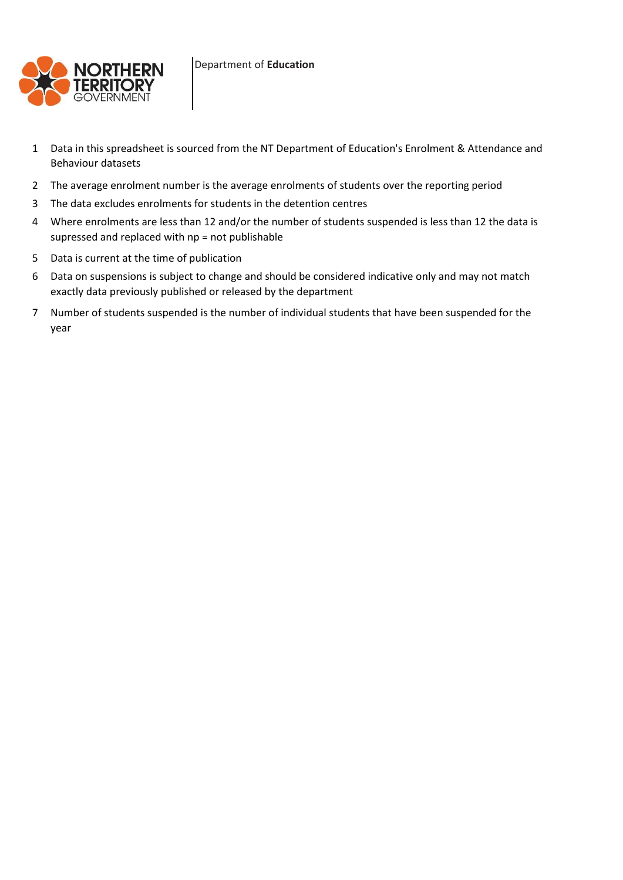

- 1 Data in this spreadsheet is sourced from the NT Department of Education's Enrolment & Attendance and Behaviour datasets
- 2 The average enrolment number is the average enrolments of students over the reporting period
- 3 The data excludes enrolments for students in the detention centres
- 4 Where enrolments are less than 12 and/or the number of students suspended is less than 12 the data is supressed and replaced with np = not publishable
- 5 Data is current at the time of publication
- 6 Data on suspensions is subject to change and should be considered indicative only and may not match exactly data previously published or released by the department
- 7 Number of students suspended is the number of individual students that have been suspended for the year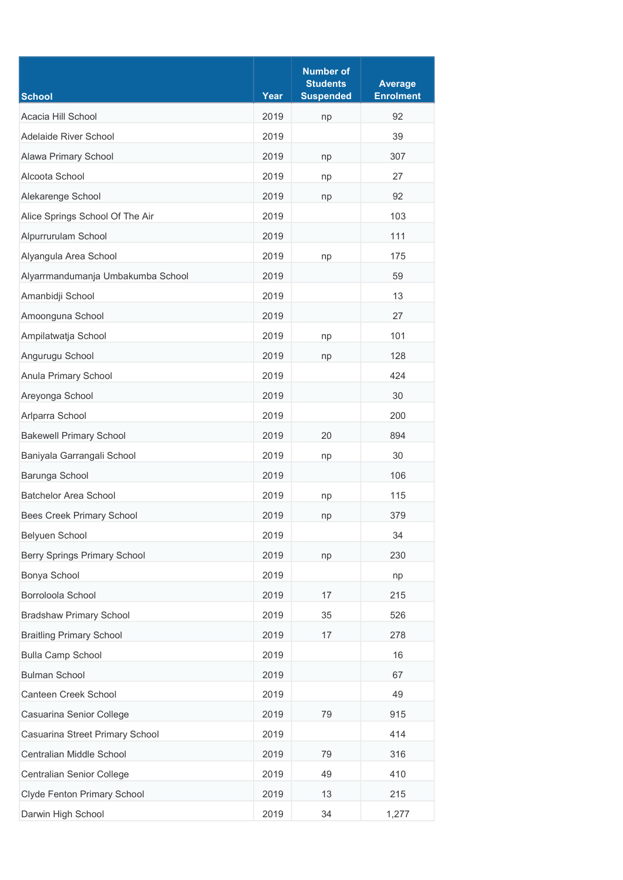| <b>School</b>                       | Year | <b>Number of</b><br><b>Students</b><br><b>Suspended</b> | <b>Average</b><br><b>Enrolment</b> |
|-------------------------------------|------|---------------------------------------------------------|------------------------------------|
| Acacia Hill School                  | 2019 |                                                         | 92                                 |
| Adelaide River School               | 2019 | np                                                      | 39                                 |
| Alawa Primary School                | 2019 | np                                                      | 307                                |
| Alcoota School                      | 2019 | np                                                      | 27                                 |
| Alekarenge School                   | 2019 | np                                                      | 92                                 |
| Alice Springs School Of The Air     | 2019 |                                                         | 103                                |
| Alpurrurulam School                 | 2019 |                                                         | 111                                |
| Alyangula Area School               | 2019 | np                                                      | 175                                |
| Alyarrmandumanja Umbakumba School   | 2019 |                                                         | 59                                 |
| Amanbidji School                    | 2019 |                                                         | 13                                 |
| Amoonguna School                    | 2019 |                                                         | 27                                 |
| Ampilatwatja School                 | 2019 | np                                                      | 101                                |
| Angurugu School                     | 2019 | np                                                      | 128                                |
| Anula Primary School                | 2019 |                                                         | 424                                |
| Areyonga School                     | 2019 |                                                         | 30                                 |
| Arlparra School                     | 2019 |                                                         | 200                                |
| <b>Bakewell Primary School</b>      | 2019 | 20                                                      | 894                                |
| Baniyala Garrangali School          | 2019 | np                                                      | 30                                 |
| Barunga School                      | 2019 |                                                         | 106                                |
| <b>Batchelor Area School</b>        | 2019 | np                                                      | 115                                |
| <b>Bees Creek Primary School</b>    | 2019 | np                                                      | 379                                |
| Belyuen School                      | 2019 |                                                         | 34                                 |
| <b>Berry Springs Primary School</b> | 2019 | np                                                      | 230                                |
| Bonya School                        | 2019 |                                                         | np                                 |
| Borroloola School                   | 2019 | 17                                                      | 215                                |
| <b>Bradshaw Primary School</b>      | 2019 | 35                                                      | 526                                |
| <b>Braitling Primary School</b>     | 2019 | 17                                                      | 278                                |
| <b>Bulla Camp School</b>            | 2019 |                                                         | 16                                 |
| <b>Bulman School</b>                | 2019 |                                                         | 67                                 |
| Canteen Creek School                | 2019 |                                                         | 49                                 |
| Casuarina Senior College            | 2019 | 79                                                      | 915                                |
| Casuarina Street Primary School     | 2019 |                                                         | 414                                |
| Centralian Middle School            | 2019 | 79                                                      | 316                                |
| Centralian Senior College           | 2019 | 49                                                      | 410                                |
| Clyde Fenton Primary School         | 2019 | 13                                                      | 215                                |
| Darwin High School                  | 2019 | 34                                                      | 1,277                              |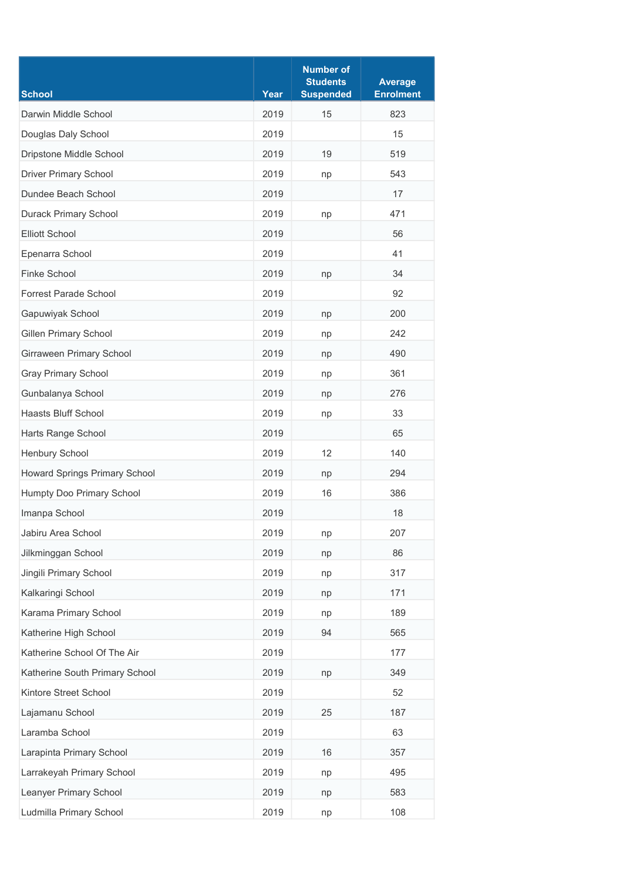| <b>School</b>                  | Year | <b>Number of</b><br><b>Students</b><br><b>Suspended</b> | <b>Average</b><br><b>Enrolment</b> |
|--------------------------------|------|---------------------------------------------------------|------------------------------------|
| Darwin Middle School           | 2019 | 15                                                      | 823                                |
| Douglas Daly School            | 2019 |                                                         | 15                                 |
| Dripstone Middle School        | 2019 | 19                                                      | 519                                |
| <b>Driver Primary School</b>   | 2019 | np                                                      | 543                                |
| Dundee Beach School            | 2019 |                                                         | 17                                 |
| <b>Durack Primary School</b>   | 2019 | np                                                      | 471                                |
| <b>Elliott School</b>          | 2019 |                                                         | 56                                 |
| Epenarra School                | 2019 |                                                         | 41                                 |
| Finke School                   | 2019 | np                                                      | 34                                 |
| <b>Forrest Parade School</b>   | 2019 |                                                         | 92                                 |
| Gapuwiyak School               | 2019 | np                                                      | 200                                |
| <b>Gillen Primary School</b>   | 2019 | np                                                      | 242                                |
| Girraween Primary School       | 2019 | np                                                      | 490                                |
| <b>Gray Primary School</b>     | 2019 | np                                                      | 361                                |
| Gunbalanya School              | 2019 | np                                                      | 276                                |
| <b>Haasts Bluff School</b>     | 2019 | np                                                      | 33                                 |
| Harts Range School             | 2019 |                                                         | 65                                 |
| Henbury School                 | 2019 | 12                                                      | 140                                |
| Howard Springs Primary School  | 2019 | np                                                      | 294                                |
| Humpty Doo Primary School      | 2019 | 16                                                      | 386                                |
| Imanpa School                  | 2019 |                                                         | 18                                 |
| Jabiru Area School             | 2019 | np                                                      | 207                                |
| Jilkminggan School             | 2019 | np                                                      | 86                                 |
| Jingili Primary School         | 2019 | np                                                      | 317                                |
| Kalkaringi School              | 2019 | np                                                      | 171                                |
| Karama Primary School          | 2019 | np                                                      | 189                                |
| Katherine High School          | 2019 | 94                                                      | 565                                |
| Katherine School Of The Air    | 2019 |                                                         | 177                                |
| Katherine South Primary School | 2019 | np                                                      | 349                                |
| Kintore Street School          | 2019 |                                                         | 52                                 |
| Lajamanu School                | 2019 | 25                                                      | 187                                |
| Laramba School                 | 2019 |                                                         | 63                                 |
| Larapinta Primary School       | 2019 | 16                                                      | 357                                |
| Larrakeyah Primary School      | 2019 | np                                                      | 495                                |
| Leanyer Primary School         | 2019 | np                                                      | 583                                |
| Ludmilla Primary School        | 2019 | np                                                      | 108                                |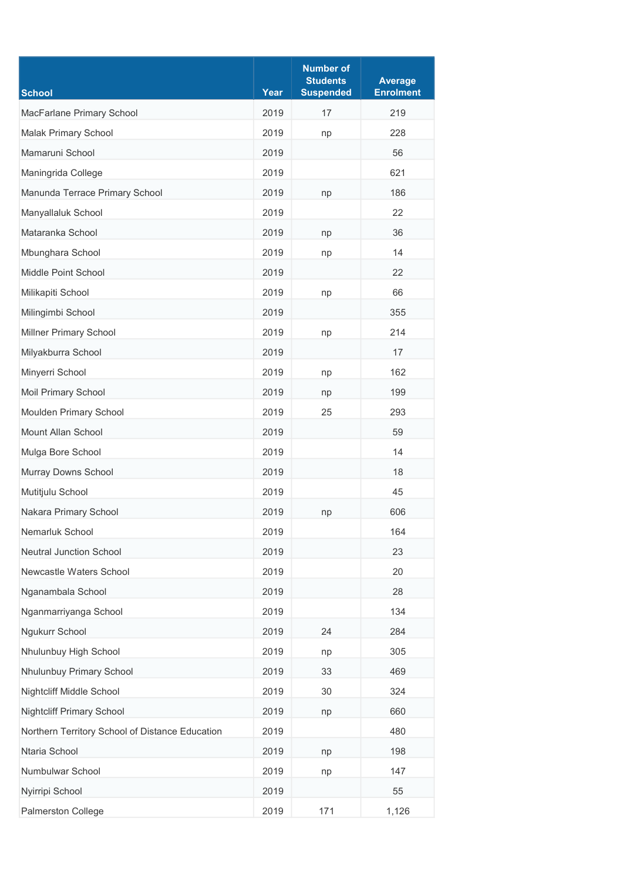| <b>School</b>                                   | Year         | <b>Number of</b><br><b>Students</b><br><b>Suspended</b> | <b>Average</b><br><b>Enrolment</b> |
|-------------------------------------------------|--------------|---------------------------------------------------------|------------------------------------|
| MacFarlane Primary School                       | 2019         | 17                                                      | 219                                |
| Malak Primary School                            | 2019         | np                                                      | 228                                |
| Mamaruni School                                 | 2019         |                                                         | 56                                 |
| Maningrida College                              | 2019         |                                                         | 621                                |
| Manunda Terrace Primary School                  | 2019         | np                                                      | 186                                |
| Manyallaluk School                              | 2019         |                                                         | 22                                 |
| Mataranka School                                | 2019         | np                                                      | 36                                 |
| Mbunghara School                                | 2019         | np                                                      | 14                                 |
| Middle Point School                             | 2019         |                                                         | 22                                 |
| Milikapiti School                               | 2019         | np                                                      | 66                                 |
| Milingimbi School                               | 2019         |                                                         | 355                                |
| Millner Primary School                          | 2019         | np                                                      | 214                                |
| Milyakburra School                              | 2019         |                                                         | 17                                 |
| Minyerri School                                 | 2019         |                                                         | 162                                |
| Moil Primary School                             | 2019         | np                                                      | 199                                |
| Moulden Primary School                          | 2019         | np<br>25                                                | 293                                |
| Mount Allan School                              | 2019         |                                                         | 59                                 |
| Mulga Bore School                               | 2019         |                                                         | 14                                 |
| Murray Downs School                             | 2019         |                                                         | 18                                 |
|                                                 |              |                                                         |                                    |
| Mutitjulu School                                | 2019         |                                                         | 45                                 |
| Nakara Primary School                           | 2019         | np                                                      | 606                                |
| Nemarluk School                                 | 2019<br>2019 |                                                         | 164                                |
| <b>Neutral Junction School</b>                  |              |                                                         | 23                                 |
| Newcastle Waters School                         | 2019         |                                                         | 20                                 |
| Nganambala School                               | 2019         |                                                         | 28                                 |
| Nganmarriyanga School                           | 2019         |                                                         | 134                                |
| Ngukurr School                                  | 2019         | 24                                                      | 284                                |
| Nhulunbuy High School                           | 2019         | np                                                      | 305                                |
| Nhulunbuy Primary School                        | 2019         | 33                                                      | 469                                |
| Nightcliff Middle School                        | 2019         | 30                                                      | 324                                |
| <b>Nightcliff Primary School</b>                | 2019         | np                                                      | 660                                |
| Northern Territory School of Distance Education | 2019         |                                                         | 480                                |
| Ntaria School                                   | 2019         | np                                                      | 198                                |
| Numbulwar School                                | 2019         | np                                                      | 147                                |
| Nyirripi School                                 | 2019         |                                                         | 55                                 |
| Palmerston College                              | 2019         | 171                                                     | 1,126                              |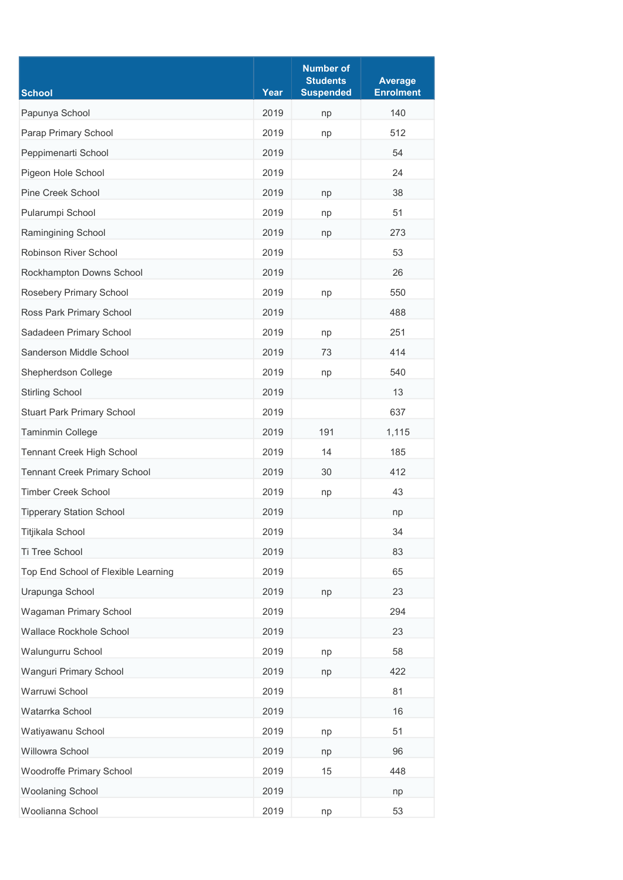| <b>School</b>                       | Year | <b>Number of</b><br><b>Students</b><br><b>Suspended</b> | <b>Average</b><br><b>Enrolment</b> |
|-------------------------------------|------|---------------------------------------------------------|------------------------------------|
| Papunya School                      | 2019 | np                                                      | 140                                |
| Parap Primary School                | 2019 | np                                                      | 512                                |
| Peppimenarti School                 | 2019 |                                                         | 54                                 |
| Pigeon Hole School                  | 2019 |                                                         | 24                                 |
| <b>Pine Creek School</b>            | 2019 | np                                                      | 38                                 |
| Pularumpi School                    | 2019 | np                                                      | 51                                 |
| Ramingining School                  | 2019 | np                                                      | 273                                |
| Robinson River School               | 2019 |                                                         | 53                                 |
| Rockhampton Downs School            | 2019 |                                                         | 26                                 |
| Rosebery Primary School             | 2019 | np                                                      | 550                                |
| Ross Park Primary School            | 2019 |                                                         | 488                                |
| Sadadeen Primary School             | 2019 | np                                                      | 251                                |
| Sanderson Middle School             | 2019 | 73                                                      | 414                                |
| Shepherdson College                 | 2019 | np                                                      | 540                                |
| <b>Stirling School</b>              | 2019 |                                                         | 13                                 |
| <b>Stuart Park Primary School</b>   | 2019 |                                                         | 637                                |
| Taminmin College                    | 2019 | 191                                                     | 1,115                              |
| Tennant Creek High School           | 2019 | 14                                                      | 185                                |
| <b>Tennant Creek Primary School</b> | 2019 | 30                                                      | 412                                |
| <b>Timber Creek School</b>          | 2019 | np                                                      | 43                                 |
| <b>Tipperary Station School</b>     | 2019 |                                                         | np                                 |
| Titjikala School                    | 2019 |                                                         | 34                                 |
| Ti Tree School                      | 2019 |                                                         | 83                                 |
| Top End School of Flexible Learning | 2019 |                                                         | 65                                 |
| Urapunga School                     | 2019 | np                                                      | 23                                 |
| Wagaman Primary School              | 2019 |                                                         | 294                                |
| Wallace Rockhole School             | 2019 |                                                         | 23                                 |
| Walungurru School                   | 2019 | np                                                      | 58                                 |
| Wanguri Primary School              | 2019 | np                                                      | 422                                |
| Warruwi School                      | 2019 |                                                         | 81                                 |
| Watarrka School                     | 2019 |                                                         | 16                                 |
| Watiyawanu School                   | 2019 | np                                                      | 51                                 |
| Willowra School                     | 2019 | np                                                      | 96                                 |
| Woodroffe Primary School            | 2019 | 15                                                      | 448                                |
| Woolaning School                    | 2019 |                                                         | np                                 |
| Woolianna School                    | 2019 | np                                                      | 53                                 |